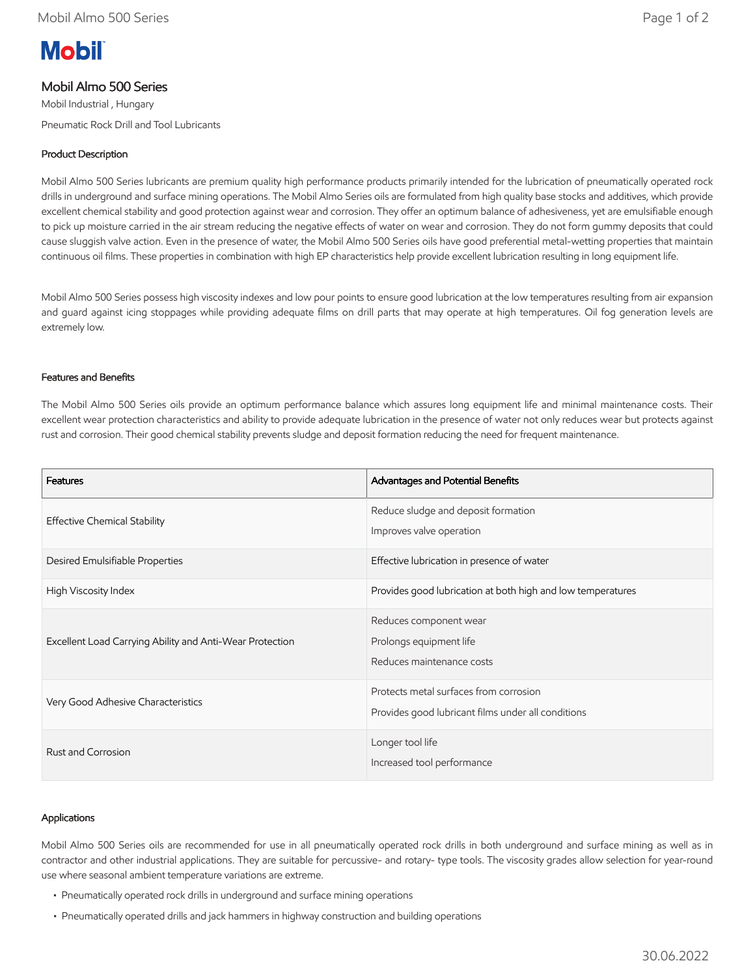# **Mobil**

## Mobil Almo 500 Series

Mobil Industrial , Hungary Pneumatic Rock Drill and Tool Lubricants

## Product Description

Mobil Almo 500 Series lubricants are premium quality high performance products primarily intended for the lubrication of pneumatically operated rock drills in underground and surface mining operations. The Mobil Almo Series oils are formulated from high quality base stocks and additives, which provide excellent chemical stability and good protection against wear and corrosion. They offer an optimum balance of adhesiveness, yet are emulsifiable enough to pick up moisture carried in the air stream reducing the negative effects of water on wear and corrosion. They do not form gummy deposits that could cause sluggish valve action. Even in the presence of water, the Mobil Almo 500 Series oils have good preferential metal-wetting properties that maintain continuous oil films. These properties in combination with high EP characteristics help provide excellent lubrication resulting in long equipment life.

Mobil Almo 500 Series possess high viscosity indexes and low pour points to ensure good lubrication at the low temperatures resulting from air expansion and guard against icing stoppages while providing adequate films on drill parts that may operate at high temperatures. Oil fog generation levels are extremely low.

#### Features and Benefits

The Mobil Almo 500 Series oils provide an optimum performance balance which assures long equipment life and minimal maintenance costs. Their excellent wear protection characteristics and ability to provide adequate lubrication in the presence of water not only reduces wear but protects against rust and corrosion. Their good chemical stability prevents sludge and deposit formation reducing the need for frequent maintenance.

| Features                                                 | Advantages and Potential Benefits                                                            |
|----------------------------------------------------------|----------------------------------------------------------------------------------------------|
| <b>Effective Chemical Stability</b>                      | Reduce sludge and deposit formation<br>Improves valve operation                              |
| Desired Emulsifiable Properties                          | Effective lubrication in presence of water                                                   |
| High Viscosity Index                                     | Provides good lubrication at both high and low temperatures                                  |
| Excellent Load Carrying Ability and Anti-Wear Protection | Reduces component wear<br>Prolongs equipment life<br>Reduces maintenance costs               |
| Very Good Adhesive Characteristics                       | Protects metal surfaces from corrosion<br>Provides good lubricant films under all conditions |
| Rust and Corrosion                                       | Longer tool life<br>Increased tool performance                                               |

#### Applications

Mobil Almo 500 Series oils are recommended for use in all pneumatically operated rock drills in both underground and surface mining as well as in contractor and other industrial applications. They are suitable for percussive- and rotary- type tools. The viscosity grades allow selection for year-round use where seasonal ambient temperature variations are extreme.

- Pneumatically operated rock drills in underground and surface mining operations
- Pneumatically operated drills and jack hammers in highway construction and building operations